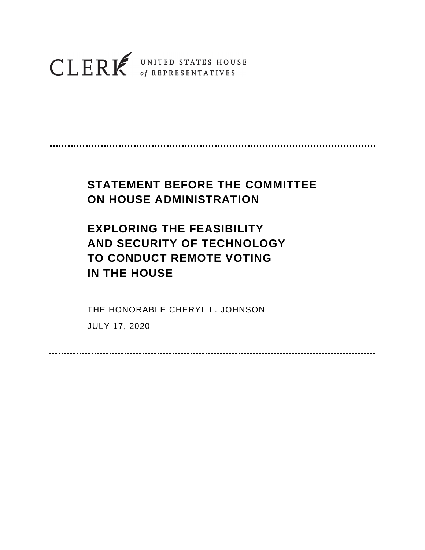## $\textbf{CLERR} \textbf{K} | \tiny{\begin{array}{c} \texttt{UNITED STATES HOUSE}\\ \texttt{of REPRESENTATIVES} \end{array}}$

## **STATEMENT BEFORE THE COMMITTEE ON HOUSE ADMINISTRATION**

## **EXPLORING THE FEASIBILITY AND SECURITY OF TECHNOLOGY TO CONDUCT REMOTE VOTING IN THE HOUSE**

THE HONORABLE CHERYL L. JOHNSON

JULY 17, 2020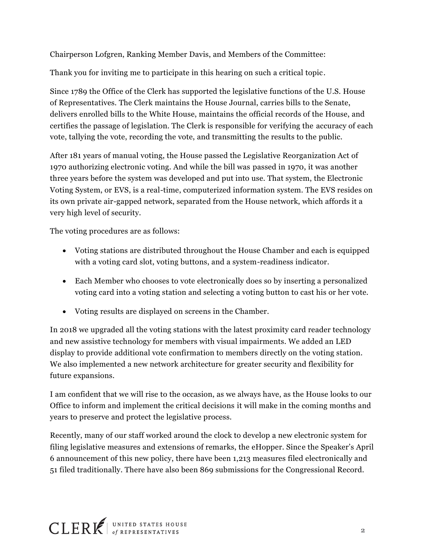Chairperson Lofgren, Ranking Member Davis, and Members of the Committee:

Thank you for inviting me to participate in this hearing on such a critical topic.

Since 1789 the Office of the Clerk has supported the legislative functions of the U.S. House of Representatives. The Clerk maintains the House Journal, carries bills to the Senate, delivers enrolled bills to the White House, maintains the official records of the House, and certifies the passage of legislation. The Clerk is responsible for verifying the accuracy of each vote, tallying the vote, recording the vote, and transmitting the results to the public.

After 181 years of manual voting, the House passed the Legislative Reorganization Act of 1970 authorizing electronic voting. And while the bill was passed in 1970, it was another three years before the system was developed and put into use. That system, the Electronic Voting System, or EVS, is a real-time, computerized information system. The EVS resides on its own private air-gapped network, separated from the House network, which affords it a very high level of security.

The voting procedures are as follows:

- Voting stations are distributed throughout the House Chamber and each is equipped with a voting card slot, voting buttons, and a system-readiness indicator.
- Each Member who chooses to vote electronically does so by inserting a personalized voting card into a voting station and selecting a voting button to cast his or her vote.
- Voting results are displayed on screens in the Chamber.

In 2018 we upgraded all the voting stations with the latest proximity card reader technology and new assistive technology for members with visual impairments. We added an LED display to provide additional vote confirmation to members directly on the voting station. We also implemented a new network architecture for greater security and flexibility for future expansions.

I am confident that we will rise to the occasion, as we always have, as the House looks to our Office to inform and implement the critical decisions it will make in the coming months and years to preserve and protect the legislative process.

Recently, many of our staff worked around the clock to develop a new electronic system for filing legislative measures and extensions of remarks, the eHopper. Since the Speaker's April 6 announcement of this new policy, there have been 1,213 measures filed electronically and 51 filed traditionally. There have also been 869 submissions for the Congressional Record.